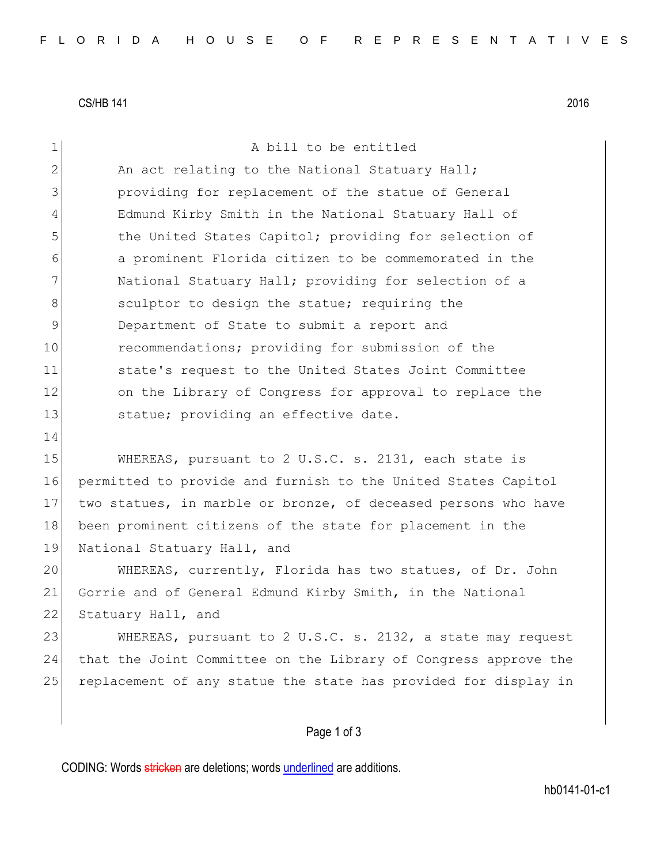CS/HB 141 2016

| the United States Capitol; providing for selection of           |
|-----------------------------------------------------------------|
| a prominent Florida citizen to be commemorated in the           |
|                                                                 |
|                                                                 |
|                                                                 |
|                                                                 |
|                                                                 |
| on the Library of Congress for approval to replace the          |
|                                                                 |
|                                                                 |
|                                                                 |
| permitted to provide and furnish to the United States Capitol   |
| two statues, in marble or bronze, of deceased persons who have  |
|                                                                 |
|                                                                 |
| WHEREAS, currently, Florida has two statues, of Dr. John        |
|                                                                 |
|                                                                 |
| WHEREAS, pursuant to 2 U.S.C. s. 2132, a state may request      |
| that the Joint Committee on the Library of Congress approve the |
| replacement of any statue the state has provided for display in |
|                                                                 |
|                                                                 |
|                                                                 |

CODING: Words stricken are deletions; words underlined are additions.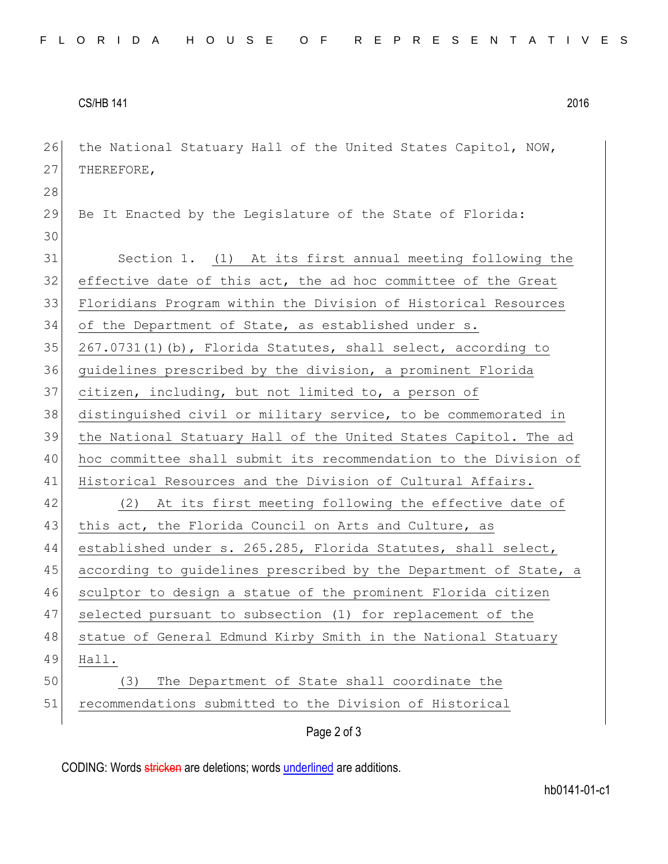## CS/HB 141 2016

| 26 | the National Statuary Hall of the United States Capitol, NOW,    |
|----|------------------------------------------------------------------|
| 27 | THEREFORE,                                                       |
| 28 |                                                                  |
| 29 | Be It Enacted by the Legislature of the State of Florida:        |
| 30 |                                                                  |
| 31 | Section 1. (1) At its first annual meeting following the         |
| 32 | effective date of this act, the ad hoc committee of the Great    |
| 33 | Floridians Program within the Division of Historical Resources   |
| 34 | of the Department of State, as established under s.              |
| 35 | 267.0731(1)(b), Florida Statutes, shall select, according to     |
| 36 | guidelines prescribed by the division, a prominent Florida       |
| 37 | citizen, including, but not limited to, a person of              |
| 38 | distinguished civil or military service, to be commemorated in   |
| 39 | the National Statuary Hall of the United States Capitol. The ad  |
| 40 | hoc committee shall submit its recommendation to the Division of |
| 41 | Historical Resources and the Division of Cultural Affairs.       |
| 42 | (2) At its first meeting following the effective date of         |
| 43 | this act, the Florida Council on Arts and Culture, as            |
| 44 | established under s. 265.285, Florida Statutes, shall select,    |
| 45 | according to guidelines prescribed by the Department of State, a |
| 46 | sculptor to design a statue of the prominent Florida citizen     |
| 47 | selected pursuant to subsection (1) for replacement of the       |
| 48 | statue of General Edmund Kirby Smith in the National Statuary    |
| 49 | Hall.                                                            |
| 50 | The Department of State shall coordinate the<br>(3)              |
| 51 | recommendations submitted to the Division of Historical          |
|    | Page 2 of 3                                                      |

CODING: Words stricken are deletions; words underlined are additions.